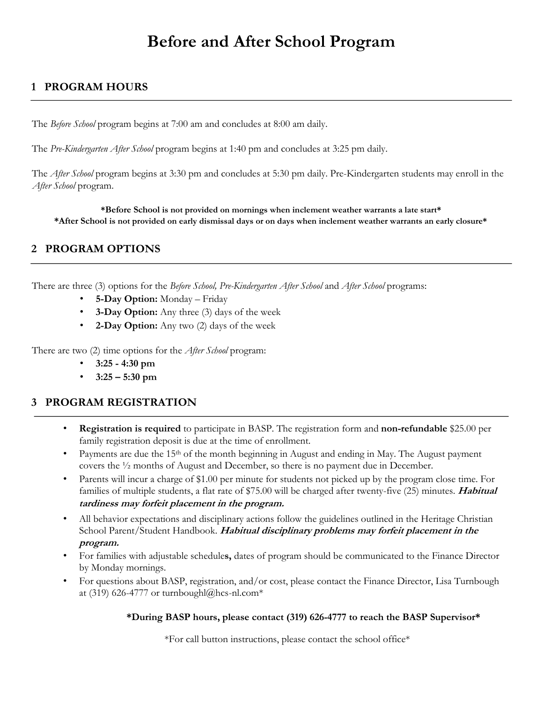# **Before and After School Program**

# **1 PROGRAM HOURS**

The *Before School* program begins at 7:00 am and concludes at 8:00 am daily.

The *Pre-Kindergarten After School* program begins at 1:40 pm and concludes at 3:25 pm daily.

The *After School* program begins at 3:30 pm and concludes at 5:30 pm daily. Pre-Kindergarten students may enroll in the *After School* program.

**\*Before School is not provided on mornings when inclement weather warrants a late start\* \*After School is not provided on early dismissal days or on days when inclement weather warrants an early closure\*** 

## **2 PROGRAM OPTIONS**

There are three (3) options for the *Before School, Pre-Kindergarten After School* and *After School* programs:

- **5-Day Option:** Monday Friday
- **3-Day Option:** Any three (3) days of the week
- **2-Day Option:** Any two (2) days of the week

There are two (2) time options for the *After School* program:

- **3:25 - 4:30 pm**
- **3:25 – 5:30 pm**

## **3 PROGRAM REGISTRATION**

- **Registration is required** to participate in BASP. The registration form and **non-refundable** \$25.00 per family registration deposit is due at the time of enrollment.
- Payments are due the 15<sup>th</sup> of the month beginning in August and ending in May. The August payment covers the ½ months of August and December, so there is no payment due in December.
- Parents will incur a charge of \$1.00 per minute for students not picked up by the program close time. For families of multiple students, a flat rate of \$75.00 will be charged after twenty-five (25) minutes. **Habitual tardiness may forfeit placement in the program.**
- All behavior expectations and disciplinary actions follow the guidelines outlined in the Heritage Christian School Parent/Student Handbook. **Habitual disciplinary problems may forfeit placement in the program.**
- For families with adjustable schedule**s,** dates of program should be communicated to the Finance Director by Monday mornings.
- For questions about BASP, registration, and/or cost, please contact the Finance Director, Lisa Turnbough at (319) 626-4777 or turnboughl@hcs-nl.com\*

#### **\*During BASP hours, please contact (319) 626-4777 to reach the BASP Supervisor\***

\*For call button instructions, please contact the school office\*